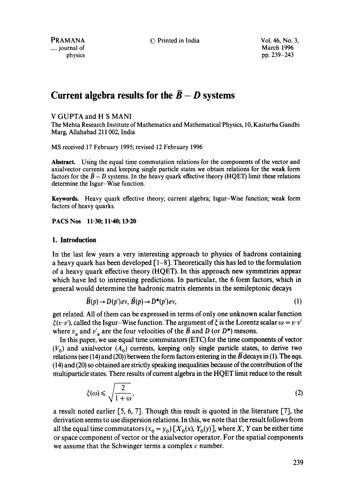$\equiv$  journal of

PRAMANA © Printed in India Vol. 46, No. 3, physics pp. 239-243

# Current algebra results for the  $\bar{B} - D$  systems

# V GUPTA and H S MANI

The Mehta Research Institute of Mathematics and Mathematical Physics, 10, Kasturba Gandhi Marg, Allahabad 211002, India

MS received 17 February 1995; revised 12 February 1996

Abstract. Using the equal time commutation relations for the components of the vector and axialvector currents and keeping single particle states we obtain relations for the weak form factors for the  $\bar{B}-D$  systems. In the heavy quark effective theory (HQET) limit these relations determine the Isgur-Wise function.

**Keywords.** Heavy quark effective theory; current algebra; Isgur-Wise function; weak form factors of heavy quarks.

PACS Nos 11.30; 11.40; 13.20

## **1. Introduction**

In the last few years a very interesting approach to physics of hadrons containing a heavy quark has been developed  $\lceil 1-8 \rceil$ . Theoretically this has led to the formulation of a heavy quark effective theory (HQET). In this approach new symmetries appear which have led to interesting predictions. In particular, the 6 form factors, which in general would determine the hadronic matrix elements in the semileptonic decays

$$
\overline{B}(p) \to D(p')ev, \overline{B}(p) \to D^*(p')ev,
$$
\n(1)

get related. All of them can be expressed in terms of only one unknown scalar function  $\xi(v \cdot v')$ , called the Isgur-Wise function. The argument of  $\xi$  is the Lorentz scalar  $\omega = v \cdot v'$ where  $v_u$  and  $v'_u$  are the four velocities of the  $\vec{B}$  and D (or D\*) mesons.

In this paper, we use equal time commutators (ETC) for the time components of vector  $(V_0)$  and axialvector  $(A_0)$  currents, keeping only single particle states, to derive two relations (see (14) and (20)) between the form factors entering in the  $\overline{B}$  decays in (1). The eqs. (14) and (20) so obtained are strictly speaking inequalities because of the contribution of the multiparticle states. There results of current algebra in the HQET limit reduce to the result

$$
\xi(\omega) \leqslant \sqrt{\frac{2}{1+\omega}},\tag{2}
$$

a result noted earlier  $[5, 6, 7]$ . Though this result is quoted in the literature  $[7]$ , the derivation seems to use dispersion relations. In this, we note that the result follows from all the equal time commutators  $(x_0 = y_0) [X_0(x), Y_0(y)]$ , where X, Y can be either time or space component of vector or the axialvector operator. For the spatial components we assume that the Schwinger terms a complex c number.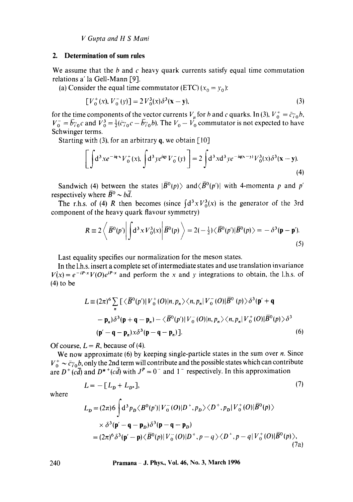*V Gupta and H S Mani* 

#### **2. Determination of sum rules**

We assume that the  $b$  and  $c$  heavy quark currents satisfy equal time commutation relations a' la Gell-Mann [9].

(a) Consider the equal time commutator  $(ETC)$   $(x_0 = y_0)$ :

$$
[V_0^+(x), V_0^-(y)] = 2V_0^3(x)\delta^3(x-y),
$$
\n(3)

for the time components of the vector currents  $V_{\mu}$  for b and c quarks. In (3),  $V_0^+ = \bar{c} \gamma_0 b$ ,  $V_0^-$  =  $\bar{b}$ <sub>7</sub>°  $c$  and  $V_0^3$  =  $\frac{1}{2}$ ( $\bar{c}$ <sub>7°</sub> $c$  –  $\bar{b}$ <sub>7°</sub> $b$ ). The  $V_0 - V_0$  commutator is not expected to have Schwinger terms.

Starting with (3), for an arbitrary  $q$ , we obtain [10]

$$
\left[\int d^3 x e^{-i\mathbf{q}\cdot\mathbf{x}} V_0^+(x) \int d^3 y e^{i\mathbf{q}\cdot\mathbf{y}} V_0^-(y)\right] = 2 \int d^3 x d^3 y e^{-i\mathbf{q}(\mathbf{x}-\mathbf{y})} V_0^3(x) \delta^3(\mathbf{x}-\mathbf{y}).
$$
\n(4)

Sandwich (4) between the states  $|\overline{B}^0(p)\rangle$  and  $\langle \overline{B}^0(p')|$  with 4-momenta p and p' respectively where  $\overline{B}{}^0 \sim b\overline{d}$ .

The r.h.s. of (4) R then becomes (since  $\int d^3x V_0^3(x)$  is the generator of the 3rd component of the heavy quark flavour symmetry)

$$
R \equiv 2 \left\langle \left| \overline{B}^0(p') \right| \int d^3 x V_0^3(x) \left| \overline{B}^0(p) \right| \right\rangle = 2(-\frac{1}{2}) \left\langle \overline{B}^0(p') \right| \overline{B}^0(p) \left\rangle = -\delta^3(\mathbf{p} - \mathbf{p'}) \tag{5}
$$

Last equality specifies our normalization for the meson states.

In the 1.h.s. insert a complete set of intermediate states and use translation invariance  $V(x) = e^{-iP \cdot x} V(0) e^{iP \cdot x}$  and perform the x and y integrations to obtain, the l.h.s. of (4) to be

$$
L = (2\pi)^6 \sum_{n} \left[ \langle \bar{B}^0(p') | V_0^+(O) | n, p_n \rangle \langle n, p_n | V_0^-(O) | \bar{B}^0(p) \rangle \delta^3(p' + q) \right]
$$
  
-  $\mathbf{p}_n \rangle \delta^3(\mathbf{p} + \mathbf{q} - \mathbf{p}_n) - \langle \bar{B}^0(p') | V_0^-(O) | n, p_n \rangle \langle n, p_n | V_0^+(O) | \bar{B}^0(p) \rangle \delta^3$   
( $\mathbf{p}' - \mathbf{q} - \mathbf{p}_n) \times \delta^3(\mathbf{p} - \mathbf{q} - \mathbf{p}_n)$ ). (6)

Of course,  $L = R$ , because of (4).

We now approximate  $(6)$  by keeping single-particle states in the sum over  $n$ . Since  $V_0^+ \sim \bar{c}\gamma_0 b$ , only the 2nd term will contribute and the possible states which can contribute are  $D^+(c\overline{d})$  and  $D^{*+}(c\overline{d})$  with  $J^P=0^-$  and  $1^-$  respectively. In this approximation

$$
L = -[LD + LD*],\tag{7}
$$

where

$$
L_D = (2\pi)6 \int d^3 p_D \langle B^0(p') | V_0^-(O) | D^+, p_D \rangle \langle D^+, p_D | V_0^+(O) | \overline{B}^0(p) \rangle
$$
  
 
$$
\times \delta^3(\mathbf{p}' - \mathbf{q} - \mathbf{p}_D) \delta^3(\mathbf{p} - \mathbf{q} - \mathbf{p}_D)
$$
  
=  $(2\pi)^6 \delta^3(\mathbf{p}' - \mathbf{p}) \langle \overline{B}^0(p) | V_0^-(O) | D^+, p - q \rangle \langle D^+, p - q | V_0^+(O) | \overline{B}^0(p) \rangle,$  (7a)

**240 Pramana J. Phys., Vol. 46, No. 3, March 1996**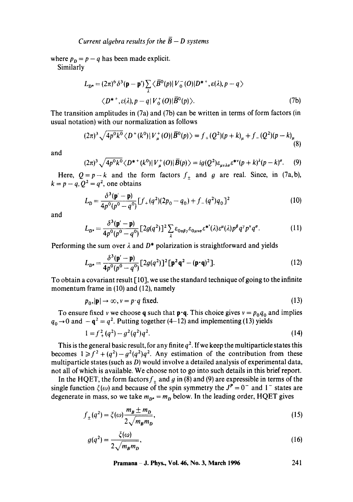where  $p_p = p - q$  has been made explicit.

Similarly

$$
L_{D^*} = (2\pi)^6 \delta^3(\mathbf{p} - \mathbf{p}') \sum_{\lambda} \langle \overline{B}^0(p) | V_0^-(O) | D^{*+}, \varepsilon(\lambda), p - q \rangle
$$
  
 
$$
\langle D^{*+}, \varepsilon(\lambda), p - q | V_0^+(O) | \overline{B}^0(p) \rangle.
$$
 (7b)

The transition amplitudes in (7a) and (7b) can be written in terms of form factors (in usual notation) with our normalization as follows

$$
(2\pi)^3 \sqrt{4p^0k^0} \langle D^+(k^0) | V^+_n(0) | \bar{B}^0(p) \rangle = f_+(Q^2)(p+k)_\mu + f_-(Q^2)(p-k)_\mu \tag{8}
$$

and

$$
(2\pi)^3 \sqrt{4p^0k^0} \langle D^{*+}(k^0) | V^+_\\\mu(O) | \overline{B}(p) \rangle = ig(Q^2) \varepsilon_{\mu\nu\lambda\sigma} \varepsilon^{* \nu} (p+k)^3 (p-k)^{\sigma}. \tag{9}
$$

Here,  $Q=p-k$  and the form factors  $f_+$  and g are real. Since, in (7a, b),  $k = p - q$ ,  $Q^2 = q^2$ , one obtains

$$
L_D = \frac{\delta^3(\mathbf{p}' - \mathbf{p})}{4p^0(p^0 - q^0)} [f_+(q^2)(2p_0 - q_0) + f_-(q^2)q_0]^2
$$
 (10)

and

$$
L_{D^*} = \frac{\delta^3(\mathbf{p}' - \mathbf{p})}{4p^0(p^0 - q^0)} \left[ 2g(q^2) \right]^2 \sum_{\lambda} \varepsilon_{0\alpha\beta\gamma} \varepsilon_{0\mu\nu\sigma} \varepsilon^{*'}(\lambda) \varepsilon^{\mu}(\lambda) p^{\beta} q^{\gamma} p^{\nu} q^{\sigma}.
$$
 (11)

Performing the sum over  $\lambda$  and  $D^*$  polarization is straightforward and yields

$$
L_{D^*} = \frac{\delta^3(\mathbf{p'} - \mathbf{p})}{4p^0(p^0 - q^0)} [2g(q^2)]^2 [\mathbf{p}^2 \mathbf{q}^2 - (\mathbf{p} \cdot \mathbf{q})^2].
$$
 (12)

To obtain a covariant result  $\lceil 10 \rceil$ , we use the standard technique of going to the infinite momentum frame in (10) and (12), namely

$$
p_0, |\mathbf{p}| \to \infty, \, v = p \cdot q \text{ fixed.} \tag{13}
$$

To ensure fixed v we choose q such that  $\mathbf{p} \cdot \mathbf{q}$ . This choice gives  $v = p_0 q_0$  and implies  $q_0 \rightarrow 0$  and  $-q^2 = q^2$ . Putting together (4-12) and implementing (13) yields

$$
1 = f^2 + (q^2) - g^2(q^2)q^2.
$$
 (14)

This is the general basic result, for any finite  $q^2$ . If we keep the multiparticle states this becomes  $1 \ge f^2 + (q^2) - g^2(q^2)q^2$ . Any estimation of the contribution from these multiparticle states (such as D) would involve a detailed analysis of experimental data, not all of which is available. We choose not to go into such details in this brief report.

In the HQET, the form factors  $f_+$  and g in (8) and (9) are expressible in terms of the single function  $\xi(\omega)$  and because of the spin symmetry the  $J^P = 0^-$  and l<sup>-</sup> states are degenerate in mass, so we take  $m_{p*} = m_p$  below. In the leading order, HQET gives

$$
f_{\pm}(q^2) = \xi(\omega) \frac{m_B \pm m_D}{2\sqrt{m_B m_D}},\tag{15}
$$

$$
g(q^2) = \frac{\xi(\omega)}{2\sqrt{m_B m_D}},
$$
\n(16)

Pramana – J. Phys., Vol. 46, No. 3, March 1996 
$$
241
$$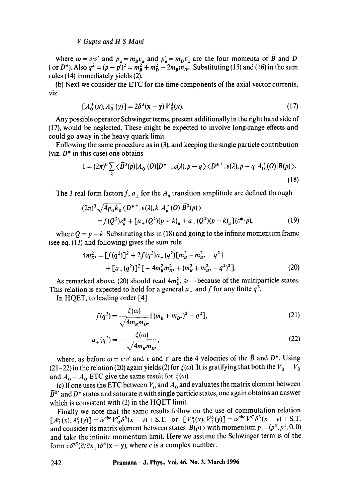### *V Gupta and H S Mani*

where  $\omega = v \cdot v'$  and  $p_u = m_B v_u$  and  $p'_u = m_D v'_u$  are the four momenta of B and D ( or D<sup>\*</sup>). Also  $q^2 = (p - p')^2 = m_R^2 + m_D^2 - 2m_R m_{D^{\alpha}}$ . Substituting (15) and (16) in the sum rules (14) immediately yields (2).

(b) Next we consider the ETC for the time components of the axial vector currents, viz.

$$
[A_0^+(x), A_0^-(y)] = 2\delta^3(x - y)V_0^3(x).
$$
 (17)

Any possible operator Schwinger terms, present additionally in the right hand side of (17), would be neglected. These might be expected to involve long-range effects and could go away in the heavy quark limit.

Following the same procedure as in (3), and keeping the single particle contribution (viz.  $D^*$  in this case) one obtains

$$
1 = (2\pi)^6 \sum_{\lambda} \langle \overline{B}^0(p) | A_0^-(O) | D^{*+}, \varepsilon(\lambda), p - q \rangle \langle D^{*+}, \varepsilon(\lambda), p - q | A_0^+(O) | \overline{B}(p) \rangle.
$$
\n(18)

The 3 real form factors f,  $a_{\pm}$  for the  $A_{\mu}$  transition amplitude are defined through

$$
(2\pi)^3 \sqrt{4p_0k_0} \langle D^{*+}, \varepsilon(\lambda), k | A^+_{\mu}(O) | \bar{B}^0(p) \rangle
$$
  
=  $f(Q^2)\varepsilon^*_{\mu} + [a_+(Q^2)(p+k)_{\mu} + a_-(Q^2)(p-k)_{\mu}] (\varepsilon^* \cdot p),$  (19)

where  $Q = p - k$ . Substituting this in (18) and going to the infinite momentum frame (see eq. (13) and following) gives the sum rule

$$
4m_{D^*}^2 = [f(q^2)]^2 + 2f(q^2)a_+(q^2)[m_B^2 - m_{D^*}^2 - q^2] + [a_+(q^2)]^2 [-4m_B^2m_{D^*}^2 + (m_B^2 + m_{D^*}^2 - q^2)^2].
$$
 (20)

As remarked above, (20) should read  $4m_{D^*}^2 \geq \cdots$  because of the multiparticle states. This relation is expected to hold for a general  $a_+$  and f for any finite  $q^2$ .

In HQET, to leading order [4]

$$
f(q^2) = \frac{\xi(\omega)}{\sqrt{4m_Bm_{D^*}}} [(m_B + m_{D^*})^2 - q^2],
$$
 (21)

$$
a_{+}(q^{2}) = -\frac{\xi(\omega)}{\sqrt{4m_{B}m_{D^{*}}}},
$$
\n(22)

where, as before  $\omega = v \cdot v'$  and v and v' are the 4 velocities of the B and D<sup>\*</sup>. Using (21-22) in the relation (20) again yields (2) for  $\xi(\omega)$ . It is gratifying that both the  $V_0 - V_0$ and  $A_0 - A_0$  ETC give the same result for  $\xi(\omega)$ .

(c) If one uses the ETC between  $V_0$  and  $A_0$  and evaluates the matrix element between  $\bar{B}^{\rm o*}$  and D\* states and saturate it with single particle states, one again obtains an answer which is consistent with (2) in the HQET limit.

Finally we note that the same results follow on the use of commutation relation  $[A^{a}_{i}(x), A^{b}_{i}(y)] = i\epsilon^{abc}V_{0}^{C}\delta^{3}(x-y) + S.T.$  or  $[V^{a}_{i}(x), V^{b}_{i}(y)] = i\epsilon^{abc}V^{C}\delta^{3}(x-y) + S.T.$ and consider its matrix element between states  $|B(p)\rangle$  with momentum  $p = (p^0, p^1, 0, 0)$ and take the infinite momentum limit. Here we assume the Schwinger term is of the form  $c\delta^{\alpha\beta}(\partial/\partial x_+) \delta^3(x-y)$ , where c is a complex number.